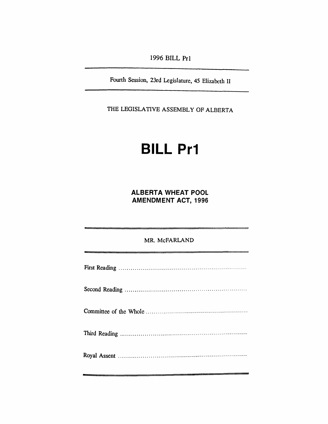*1996 BILL Pr1*

*Fourth Session, 23rd Legislature, 45 Elizabeth II*

*THE LEGISLATIVE ASSEMBLY OF ALBERTA*

# *BILL Pr1*

*ALBERTA WHEAT POOL AMENDMENT ACT, 1996*

*mr. McFarland*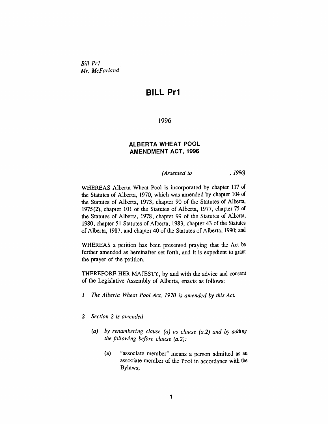*Bill Pr1 Mr. McFarland*

# *BILL Pr1*

*1996*

## *ALBERTA WHEAT POOL AMENDMENT ACT, 1996*

*(Assented to , 1996)*

*WHEREAS Alberta Wheat Pool is incorporated by chapter 117 of the Statutes of Alberta, 1970, which was amended by chapter 104 of the Statutes of Alberta, 1973, chapter 90 of the Statutes of Alberta, 1975(2), chapter 101 of the Statutes of Alberta, 1977, chapter 75 of the Statutes of Alberta, 1978, chapter 99 of the Statutes of Alberta, 1980, chapter 51 Statutes of Alberta, 1983, chapter 43 of the Statutes of Alberta, 1987, and chapter 40 of the Statutes of Alberta, 1990; and*

*WHEREAS a petition has been presented praying that the Act be further amended as hereinafter set forth, and it is expedient to grant the prayer of the petition.*

*THEREFORE HER MAJESTY, by and with the advice and consent of the Legislative Assembly of Alberta, enacts as follows:*

- *1 The Alberta Wheat Pool Act, 1970 is amended by this Act.*
- *2 Section 2 is amended*
	- *(a) by renumbering clause (a) as clause (a.2) and by adding the following before clause (a.2):*
		- *(a) "associate member" means a person admitted as an associate member of the Pool in accordance with the Bylaws;*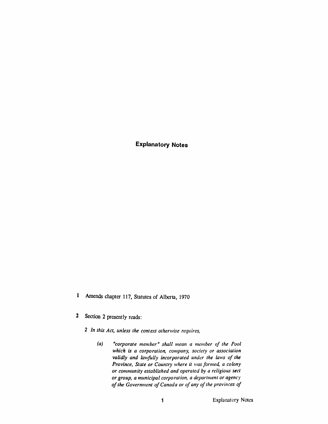*Explanatory Notes*

- *<sup>1</sup> Amends chapter 117, Statutes of Alberta, 1970*
- *2 Section 2 presently reads:*
	- *2 In this Act, unless the context otherwise requires,*
		- *(a) "corporate member" shall mean a member of the Pool which is a corporation, company, society or association validly and lawfully incorporated under the laws of the Province, State or Country where it wasformed, a colony or community established and operated by a religious sect or group, a municipal corporation, a department or agency ofthe Government ofCanada or ofany ofthe provinces of*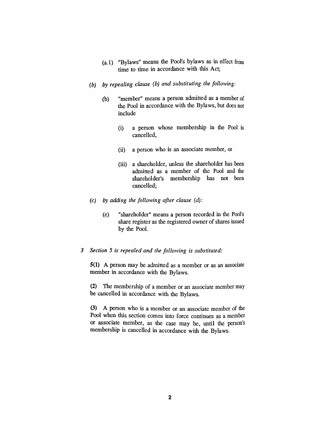- *(a.l) "Bylaws" means the Pool's bylaws as in effect from time to time in accordance with this Act;*
- *(b) by repealing clause (b) and substituting the following:*
	- *(b) "member" means a person admitted as a member of the Pool in accordance with the Bylaws, but does not include*
		- *(i) a person whose membership in the Pool is cancelled,*
		- *(ii) a person who is an associate member, or*
		- *(iii) a shareholder, unless the shareholder has been admitted as a member of the Pool and the shareholder's membership has not been cancelled;*
- *(c) by adding the following after clause (d):*
	- *(e) "shareholder" means a person recorded in the Pool's share register as the registered owner ofshares issued by the Pool.*

#### *3 Section 5 is repealed and the following is substituted:*

*5(1) A person may be admitted as a member or as an associate member in accordance with the Bylaws.*

*(2) The membership of a member or an associate member may be cancelled in accordance with the Bylaws.*

*(3) A person who is a member or an associate member of the Pool when this section comes into force continues as a member or associate member, as the case may be, until the person's membership is cancelled in accordance with the Bylaws.*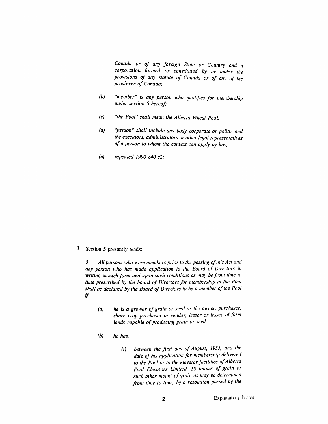*Canada or of any foreign State or Country and a corporation formed or constituted by or under the provisions of any statute of Canada or of any of the provinces of Canada;*

- *(b) "member" is any person who qualifies for membership under section 5 hereof;*
- *(c) "the Pool" shall mean the Alberta Wheat Pool;*
- *(d) "person" shall include any body corporate or politic and the executors, administrators or other legal representatives of a person to whom the context can apply by law;*
- *(e) repealed 1990 c40 s2;*

*3 Section 5 presently reads:*

*5 All persons who were members prior to the passing ofthis Act and any person who has made application to the Board of Directors in writing in such form and upon such conditions as may be from lime to time prescribed by the board of Directorsfor membership in the Pool shall be declared by the Board ofDirectors to be a member ofthe Pool if*

- *(a) he is a grower ofgrain or seed or the owner, purchaser, share crop purchaser or vendor, lessor or lessee offarm lands capable ofproducing grain or seed,*
- *(b) he has,*
	- *(i) between the first day of August, 1935, and the date of his application for membership delivered to the Pool or to the elevatorfacilities ofAlberta Pool Elevators Limited, 10 tonnes of grain or such other mount ofgrain as may be determined from time to time, by a resolution passed by the*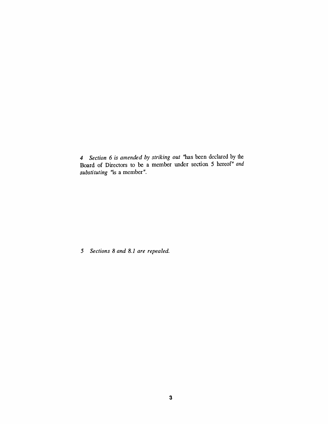*4 Section 6 is amended by striking out "has been declared by the Board of Directors to be a member under section 5 hereof" and substituting "is a member".*

*5 Sections 8 and 8.1 are repealed.*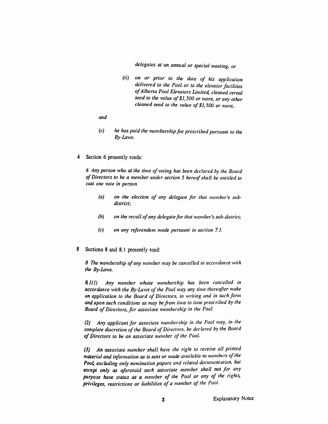*delegates at an annual or special meeting, or*

- *(ii) on or prior to the date of his application delivered to the Pool or to the elevatorfacilities ofAlberta Pool Elevators Limited, cleaned cereal seed to the value of\$1,500 or more, or any other cleaned seed to the value of \$1,500 or more,*
- *and*
- *(c) he has paid the membershipfee prescribed pursuant to the By-Laws.*
- *4 Section 6 presently reads:*

*6 Any person who at the time of voting has been declared by the Board of Directors to be a member under section 5 hereofshall be entitled to cast one vote in person*

- *(a) on the election of any delegate for that member's subdistrict;*
- *(b) on the recall ofany delegatefor that member's sub-district;*
- *(c) on any referendum made pursuant to section 7.1.*
- *5 Sections 8 and 8.1 presently read:*

*8 The membership ofany member may be cancelled in accordance with the By-Laws.*

*8.1(1) Any member whose membership has been cancelled in accordance with the By-Laws ofthe Pool may any time thereafter make an application to the Board of Directors, in writing and in such form and upon such conditions as may befrom time to time prescribed by the Board of Directors, for associate membership in the Pool.*

*(2) Any applicant for associate membership in the Pool may, in the complete discretion ofthe Board ofDirectors, be declared by the Board ofDirectors to be an associate member of the Pool.*

*(3) An associate member shall have the right to receive all printed material and information as is sent or made available to members ofthe Pool, excluding only nomination papers and related documentation, but except only as aforesaid such associate member shall not for any purpose have status as a member of the Pool or any of the rights, privileges, restrictions or liabilities of a member of the Pool.*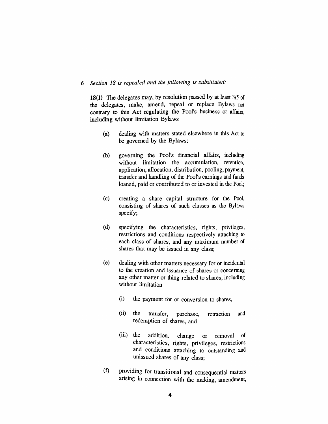## *6 Section 18 is repealed and the following is substituted:*

*18(1) The delegates may, by resolution passed by at least 3/5 of the delegates, make, amend, repeal or replace Bylaws not contrary to this Act regulating the Pool's business or affairs, including without limitation Bylaws*

- *(a) dealing with matters stated elsewhere in this Act to be governed by the Bylaws;*
- *(b) governing the Pool's financial affairs, including without limitation the accumulation, retention, application, allocation, distribution, pooling, payment, transfer and handling of the Pool's earnings and funds loaned, paid or contributed to or invested in the Pool;*
- *(c) creating a share capital structure for the Pool, consisting of shares of such classes as the Bylaws specify;*
- *(d) specifying the characteristics, rights, privileges, restrictions and conditions respectively attaching to each class of shares, and any maximum number of shares that may be issued in any class;*
- *(e) dealing with other matters necessary for or incidental to the creation and issuance of shares or concerning any other matter or thing related to shares, including without limitation*
	- *(i) the payment for or conversion to shares,*
	- *(ii) the transfer, purchase, retraction and redemption of shares, and*
	- *(iii) the addition, change or removal of characteristics, rights, privileges, restrictions and conditions attaching to outstanding and unissued shares of any class;*
- *(f) providing for transitional and consequential matters arising in connection with the making, amendment,*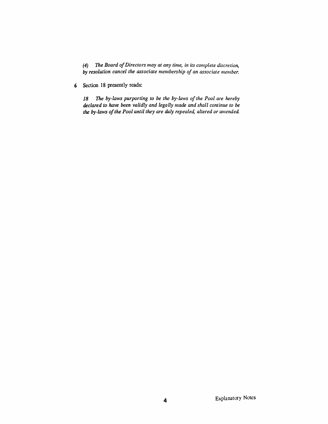*(4) The Board ofDirectors may at any time, in its complete discretion, by resolution cancel the associate membership of an associate member.*

*6 Section 18 presently reads:*

*18 The by-laws purporting to be the by-laws ofthe Pool are hereby declared to have been validly and legally made and shall continue to be the by-laws ofthe Pool until they are duly repealed, altered or amended*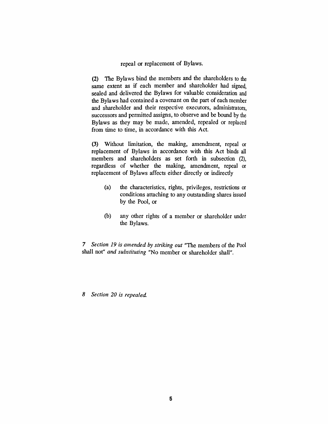*repeal or replacement of Bylaws.*

*(2) The Bylaws bind the members and the shareholders to the same extent as if each member and shareholder had signed, sealed and delivered the Bylaws for valuable consideration and the Bylaws had contained a covenant on the part of each member and shareholder and their respective executors, administrators, successors and permitted assigns, to observe and be bound by the Bylaws as they may be made, amended, repealed or replaced from time to time, in accordance with this Act.*

*(3) Without limitation, the making, amendment, repeal or replacement of Bylaws in accordance with this Act binds all members and shareholders as set forth in subsection (2), regardless of whether the making, amendment, repeal or replacement of Bylaws affects either directly or indirectly*

- *(a) the characteristics, rights, privileges, restrictions or conditions attaching to any outstanding shares issued by the Pool, or*
- *(b) any other rights of a member or shareholder under the Bylaws.*

*7 Section 19 is amended by striking out "The members of the Pool shall not" and substituting "No member or shareholder shall".*

*8 Section 20 is repealed*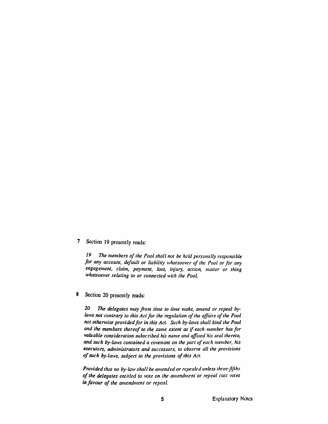## *7 Section 19 presently reads:*

*19 The members ofthe Pool shall not be held personally responsible for any account, default or liability whatsoever of the Pool orfor any engagement, claim, payment, loss, injury, action, matter or thing whatsoever relating to or connected with the Pool*

#### *8 Section 20 presently reads:*

*20 The delegates may from time to time make, amend or repeal bylaws not contrary to this Actfor the regulation ofthe affairs ofthe Pool not otherwise providedfor in this Act. Such by-laws shall bind the Pool and the members thereof to the same extent as if each member hasfor valuable consideration subscribed his name and affixed his seal thereto, and such by-laws contained a covenant on the part of each member, his executors, administrators and successors, to observe all the provisions ofsuch by-laws, subject to the provisions ofthis Act.*

*Provided that no by-law shall be amended or repealed unless three-fifths ofthe delegates entitled to vote on the amendment or repeal cast votes in favour ofthe amendment or repeal.*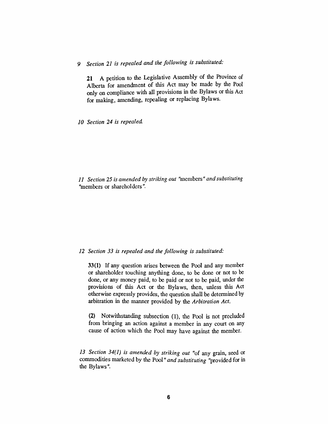# *9 Section 21 is repealed and the following is substituted:*

*21 A petition to the Legislative Assembly of the Province of Alberta for amendment of this Act may be made by the Pool only on compliance with all provisions in the Bylaws or this Act for making, amending, repealing or replacing Bylaws.*

*10 Section 24 is repealed*

*11 Section 25 is amended by striking out "members " and substituting "members or shareholders".*

#### *12 Section 33 is repealed and the following is substituted:*

*33(1) If any question arises between the Pool and any member or shareholder touching anything done, to be done or not to be done, or any money paid, to be paid or not to be paid, under the provisions of this Act or the Bylaws, then, unless this Act otherwise expressly provides, the question shall be determined by arbitration in the manner provided by the Arbitration Act.*

*(2) Notwithstanding subsection (1), the Pool is not precluded from bringing an action against a member in any court on any cause of action which the Pool may have against the member.*

*13 Section 34(1) is amended by striking out "of any grain, seed or commodities marketed by the Pool" and substituting "provided for in the Bylaws".*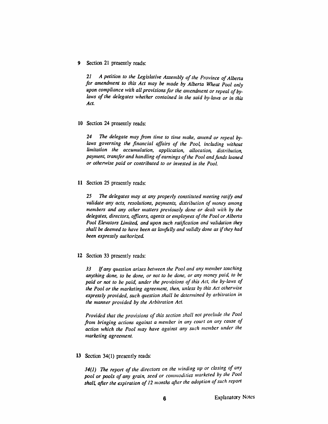*9 Section 21 presently reads:*

*21 A petition to the Legislative Assembly of the Province ofAlberta for amendment to this Act may be made by Alberta Wheat Pool only upon compliance with all provisionsfor the amendment or repeal ofbylaws of the delegates whether contained in the said by-laws or in this Act.*

#### *10 Section 24 presently reads:*

*24 The delegate may from time to time make, amend or repeal bylaws governing the financial affairs of the Pool, including without limitation the accumulation, application, allocation, distribution, payment, transfer and handling ofearnings ofthe Pool andfunds loaned or otherwise paid or contributed to or invested in the Pool.*

#### *11 Section 25 presently reads:*

*25 The delegates may at any properly constituted meeting ratify and validate any acts, resolutions, payments, distribution of money among members and any other matters previously done or dealt with by the delegates, directors, officers, agents or employees ofthe Pool or Alberta Pool Elevators Limited, and upon such ratification and validation they shall be deemed to have been as lawfully and validly done as ifthey had been expressly authorized.*

#### *12 Section 33 presently reads:*

*33 Ifany question arises between the Pool and any member touching anything done, to be done, or not to be done, or any money paid, to be paid or not to be paid, under the provisions of this Act, the by-laws of the Pool or the marketing agreement, then, unless by this Act otherwise expressly provided, such question shall be determined by arbitration in the manner provided by the Arbitration Act.*

*Provided that the provisions of this section shall not preclude the Pool from bringing actions against a member in any court on any cause of action which the Pool may have against any such member under the marketing agreement.*

#### *13 Section 34(1) presently reads:*

*34(1) The report of the directors on the winding up or closing of any pool or pools of any grain, seed or commodities marketed by the I oPol shall, after the expiration of 12 months after the adoption ofsuch report*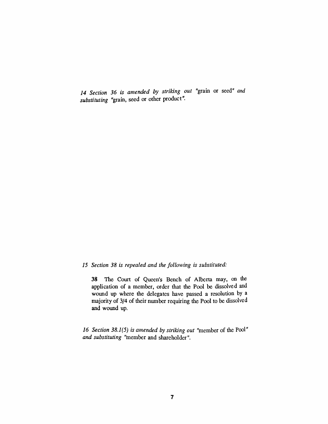*14 Section 36 is amended by striking out "grain or seed" and substituting "grain, seed or other product".*

#### *15 Section 38 is repealed and the following is substituted:*

*38 The Court of Queen's Bench of Alberta may, on the application of a member, order that the Pool be dissolved and wound up where the delegates have passed a resolution by a majority of 3/4 of their number requiring the Pool to be dissolved and wound up.*

*16 Section 38.1(5) is amended by striking out "member of the Pool" and substituting "member and shareholder".*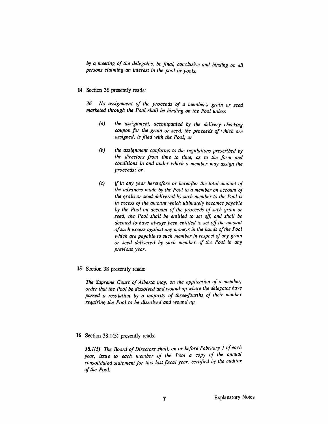*by a meeting of the delegates, be final, conclusive and binding on all persons claiming an interest in the pool or pools.*

*14 Section 36 presently reads:*

*36 No assignment of the proceeds of a member's grain or seed marketed through the Pool shall be binding on the Pool unless*

- *(a) the assignment, accompanied by the delivery checking coupon for the grain or seed, the proceeds of which are assigned, isfiled with the Pool; or*
- *(b) the assignment conforms to the regulations prescribed by the directors from time to time, as to the form and conditions in and under which a member may assign the proceeds; or*
- *(c) if in any year heretofore or hereafter the total amount of the advances made by the Pool to a member on account of the grain or seed delivered by such member to the Pool is in excess ofthe amount which ultimately becomes payable by the Pool on account of the proceeds of such grain or seed, the Pool shall be entitled to set off, and shall be deemed to have always been entitled to set off the amount ofsuch excess against any moneys in the hands ofthe Pool which are payable to such member in respect of any grain or seed delivered by such member of the Pool in any previous year.*
- *15 Section 38 presently reads:*

*The Supreme Court of Alberta may, on the application of a member, order that the Pool be dissolved and wound up where the delegates have passed a resolution by a majority of three-fourths of their number requiring the Pool to be dissolved and wound up.*

*16 Section 38.1(5) presently reads:*

*38.1(5) The Board of Directors shall, on or before February <sup>1</sup> of each year, issue to each member of the Pool a copy of the annual consolidated statement for this last fiscal year, certified by the auditor ofthe Pool.*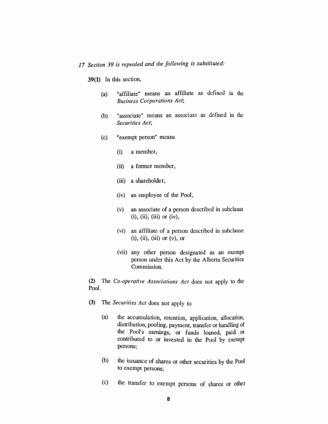# *17 Section 39 is repealed and the following is substituted:*

*39(1) In this section,*

- *(a) "affiliate" means an affiliate as defined in the Business Corporations Act;*
- *(b) "associate" means an associate as defined in the Securities Act;*
- *(c) "exempt person" means*
	- *(i) a member,*
	- *(ii) a former member,*
	- *(iii) a shareholder,*
	- *(iv) an employee of the Pool,*
	- *(v) an associate of a person described in subclause (i), (ii), (iii) or (iv),*
	- *(vi) an affiliate of a person described in subclause (i), (ii), (iii) or (v), or*
	- *(vii) any other person designated as an exempt person under this Act by the Alberta Securities Commission.*

*(2) The Co-operative Associations Act docs not apply to the Pool.*

- *(3) The Securities Act does not apply to*
	- *(a) the accumulation, retention, application, allocation, distribution, pooling, payment, transfer or handling of the Pool's earnings, or funds loaned, paid or contributed to or invested in the Pool by exempt persons;*
	- *(b) the issuance of shares or other securities by the Pool to exempt persons;*
	- *(c) the transfer to exempt persons of shares or other*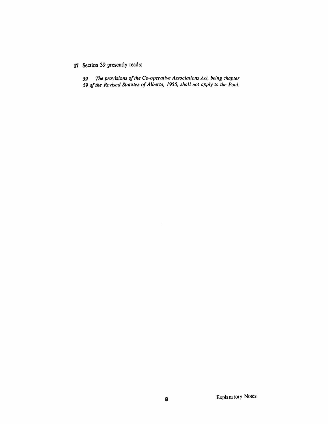## *Section 39 presently reads:*

 *The provisions ofthe Co-operative Associations Act, being chapter ofthe Revised Statutes ofAlberta, 1955, shall not apply to the Pool*